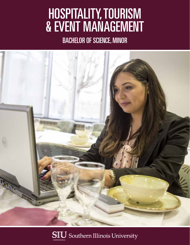# HOSPITALITY, TOURISM & EVENT MANAGEMENT

BACHELOR OF SCIENCE, MINOR